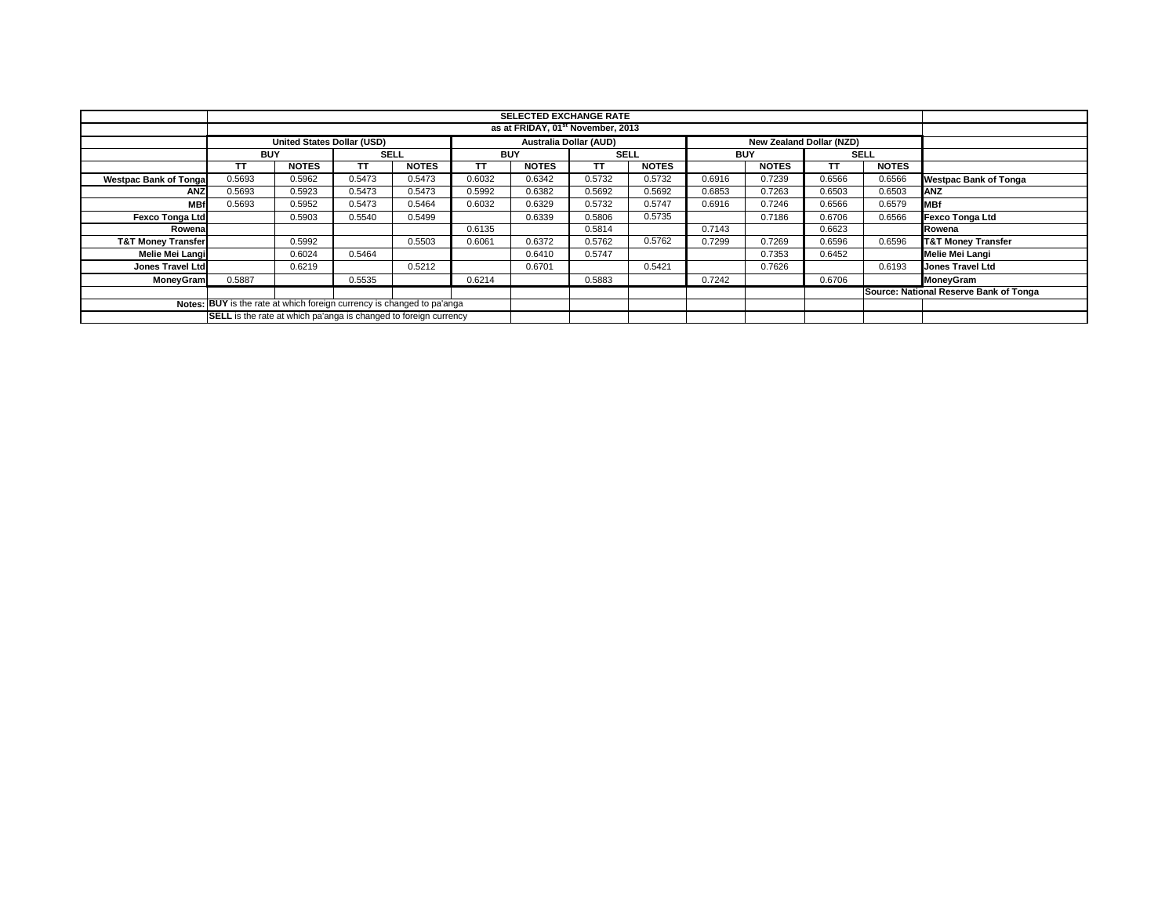|                               | <b>SELECTED EXCHANGE RATE</b>                                    |                                                                        |             |                                        |                               |              |             |              |            |                          |        |              |                               |
|-------------------------------|------------------------------------------------------------------|------------------------------------------------------------------------|-------------|----------------------------------------|-------------------------------|--------------|-------------|--------------|------------|--------------------------|--------|--------------|-------------------------------|
|                               |                                                                  |                                                                        |             |                                        |                               |              |             |              |            |                          |        |              |                               |
|                               | as at FRIDAY, 01 <sup>st</sup> November, 2013                    |                                                                        |             |                                        |                               |              |             |              |            |                          |        |              |                               |
|                               |                                                                  | <b>United States Dollar (USD)</b>                                      |             |                                        | <b>Australia Dollar (AUD)</b> |              |             |              |            | New Zealand Dollar (NZD) |        |              |                               |
|                               | <b>BUY</b>                                                       |                                                                        | <b>SELL</b> |                                        |                               | <b>BUY</b>   | <b>SELL</b> |              | <b>BUY</b> |                          |        | <b>SELL</b>  |                               |
|                               | ΤT                                                               | <b>NOTES</b>                                                           | ΤT          | <b>NOTES</b>                           | TΤ                            | <b>NOTES</b> | TΤ          | <b>NOTES</b> |            | <b>NOTES</b>             | TT     | <b>NOTES</b> |                               |
| <b>Westpac Bank of Tonga</b>  | 0.5693                                                           | 0.5962                                                                 | 0.5473      | 0.5473                                 | 0.6032                        | 0.6342       | 0.5732      | 0.5732       | 0.6916     | 0.7239                   | 0.6566 | 0.6566       | <b>Westpac Bank of Tonga</b>  |
| <b>ANZ</b>                    | 0.5693                                                           | 0.5923                                                                 | 0.5473      | 0.5473                                 | 0.5992                        | 0.6382       | 0.5692      | 0.5692       | 0.6853     | 0.7263                   | 0.6503 | 0.6503       | <b>ANZ</b>                    |
| <b>MBf</b>                    | 0.5693                                                           | 0.5952                                                                 | 0.5473      | 0.5464                                 | 0.6032                        | 0.6329       | 0.5732      | 0.5747       | 0.6916     | 0.7246                   | 0.6566 | 0.6579       | <b>MBf</b>                    |
| <b>Fexco Tonga Ltd</b>        |                                                                  | 0.5903                                                                 | 0.5540      | 0.5499                                 |                               | 0.6339       | 0.5806      | 0.5735       |            | 0.7186                   | 0.6706 | 0.6566       | <b>Fexco Tonga Ltd</b>        |
| Rowena                        |                                                                  |                                                                        |             |                                        | 0.6135                        |              | 0.5814      |              | 0.7143     |                          | 0.6623 |              | Rowena                        |
| <b>T&amp;T Money Transfer</b> |                                                                  | 0.5992                                                                 |             | 0.5503                                 | 0.6061                        | 0.6372       | 0.5762      | 0.5762       | 0.7299     | 0.7269                   | 0.6596 | 0.6596       | <b>T&amp;T Money Transfer</b> |
| Melie Mei Langi               |                                                                  | 0.6024                                                                 | 0.5464      |                                        |                               | 0.6410       | 0.5747      |              |            | 0.7353                   | 0.6452 |              | Melie Mei Langi               |
| <b>Jones Travel Ltd</b>       |                                                                  | 0.6219                                                                 |             | 0.5212                                 |                               | 0.6701       |             | 0.5421       |            | 0.7626                   |        | 0.6193       | Jones Travel Ltd              |
| <b>MoneyGram</b>              | 0.5887                                                           |                                                                        | 0.5535      |                                        | 0.6214                        |              | 0.5883      |              | 0.7242     |                          | 0.6706 |              | <b>MoneyGram</b>              |
|                               |                                                                  |                                                                        |             | Source: National Reserve Bank of Tonga |                               |              |             |              |            |                          |        |              |                               |
|                               |                                                                  | Notes: BUY is the rate at which foreign currency is changed to pa'anga |             |                                        |                               |              |             |              |            |                          |        |              |                               |
|                               | SELL is the rate at which pa'anga is changed to foreign currency |                                                                        |             |                                        |                               |              |             |              |            |                          |        |              |                               |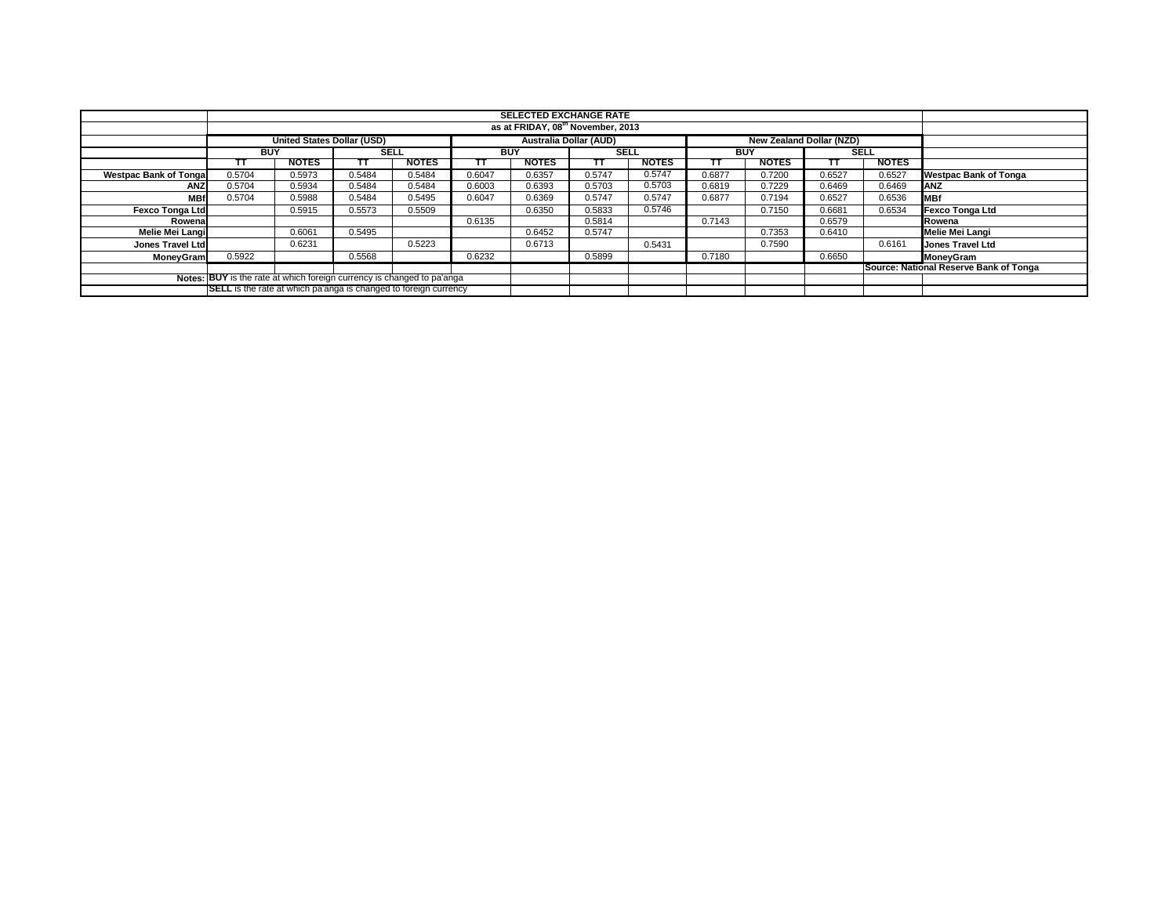|                                                                        |                                                                         |              |             |              |            | <b>SELECTED EXCHANGE RATE</b> |                               |              |            |                          |             |              |                                        |
|------------------------------------------------------------------------|-------------------------------------------------------------------------|--------------|-------------|--------------|------------|-------------------------------|-------------------------------|--------------|------------|--------------------------|-------------|--------------|----------------------------------------|
|                                                                        | as at FRIDAY, 08 <sup>th</sup> November, 2013                           |              |             |              |            |                               |                               |              |            |                          |             |              |                                        |
|                                                                        | <b>United States Dollar (USD)</b>                                       |              |             |              |            |                               | <b>Australia Dollar (AUD)</b> |              |            | New Zealand Dollar (NZD) |             |              |                                        |
|                                                                        | <b>BUY</b>                                                              |              | <b>SELL</b> |              | <b>BUY</b> |                               | <b>SELL</b>                   |              | <b>BUY</b> |                          | <b>SELL</b> |              |                                        |
|                                                                        | ΤТ                                                                      | <b>NOTES</b> |             | <b>NOTES</b> | π          | <b>NOTES</b>                  | тт                            | <b>NOTES</b> | ГΤ         | <b>NOTES</b>             |             | <b>NOTES</b> |                                        |
| <b>Westpac Bank of Tonga</b>                                           | 0.5704                                                                  | 0.5973       | 0.5484      | 0.5484       | 0.6047     | 0.6357                        | 0.5747                        | 0.5747       | 0.6877     | 0.7200                   | 0.6527      | 0.6527       | <b>Westpac Bank of Tonga</b>           |
| ANZ                                                                    | 0.5704                                                                  | 0.5934       | 0.5484      | 0.5484       | 0.6003     | 0.6393                        | 0.5703                        | 0.5703       | 0.6819     | 0.7229                   | 0.6469      | 0.6469       | ANZ                                    |
| <b>MBf</b>                                                             | 0.5704                                                                  | 0.5988       | 0.5484      | 0.5495       | 0.6047     | 0.6369                        | 0.5747                        | 0.5747       | 0.6877     | 0.7194                   | 0.6527      | 0.6536       | <b>MBf</b>                             |
| Fexco Tonga Ltd                                                        |                                                                         | 0.5915       | 0.5573      | 0.5509       |            | 0.6350                        | 0.5833                        | 0.5746       |            | 0.7150                   | 0.6681      | 0.6534       | <b>Fexco Tonga Ltd</b>                 |
| Rowena                                                                 |                                                                         |              |             |              | 0.6135     |                               | 0.5814                        |              | 0.7143     |                          | 0.6579      |              | Rowena                                 |
| Melie Mei Langi                                                        |                                                                         | 0.6061       | 0.5495      |              |            | 0.6452                        | 0.5747                        |              |            | 0.7353                   | 0.6410      |              | Melie Mei Langi                        |
| Jones Travel Ltd                                                       |                                                                         | 0.6231       |             | 0.5223       |            | 0.6713                        |                               | 0.5431       |            | 0.7590                   |             | 0.6161       | Jones Travel Ltd                       |
| <b>MonevGram</b>                                                       | 0.5922                                                                  |              | 0.5568      |              | 0.6232     |                               | 0.5899                        |              | 0.7180     |                          | 0.6650      |              | MoneyGram                              |
|                                                                        |                                                                         |              |             |              |            |                               |                               |              |            |                          |             |              | Source: National Reserve Bank of Tonga |
| Notes: BUY is the rate at which foreign currency is changed to pa'anga |                                                                         |              |             |              |            |                               |                               |              |            |                          |             |              |                                        |
|                                                                        | <b>SELL</b> is the rate at which pa'anga is changed to foreign currency |              |             |              |            |                               |                               |              |            |                          |             |              |                                        |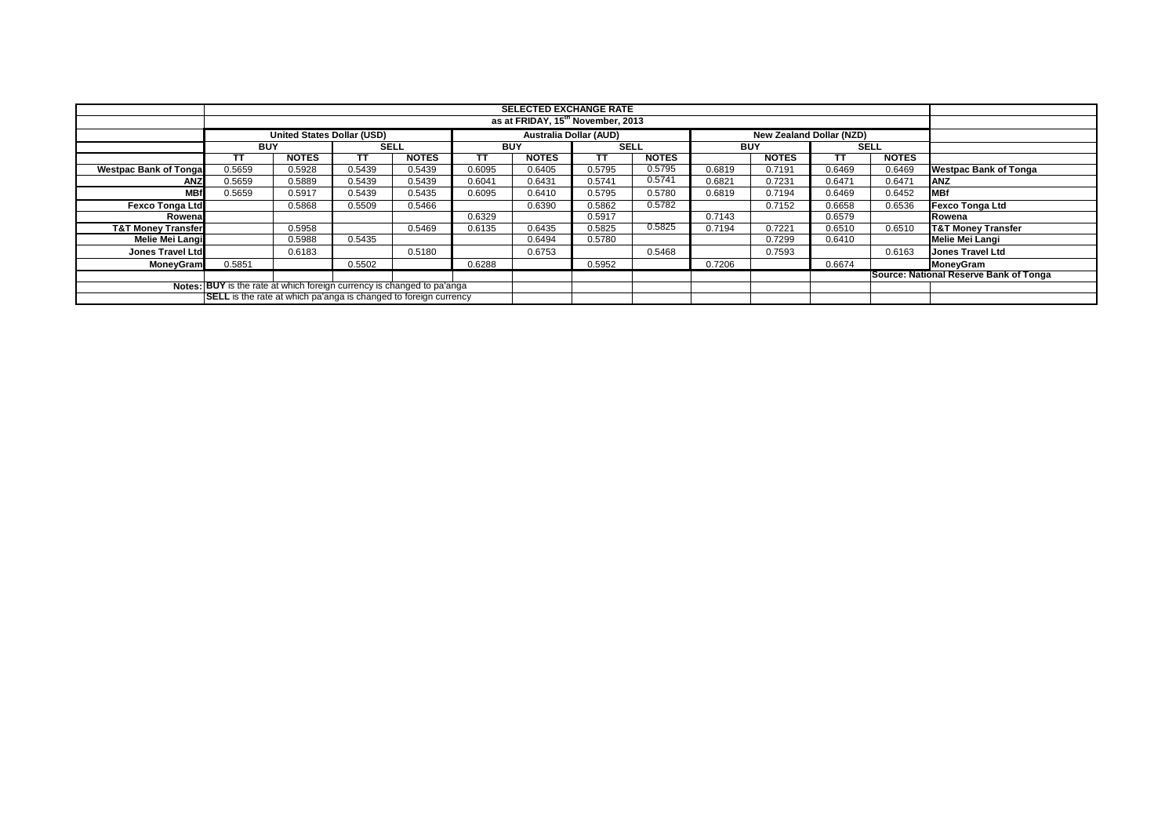|                               |                                                                         |                                   |        |              |            | <b>SELECTED EXCHANGE RATE</b> |             |              |            |                                 |                                        |              |                               |
|-------------------------------|-------------------------------------------------------------------------|-----------------------------------|--------|--------------|------------|-------------------------------|-------------|--------------|------------|---------------------------------|----------------------------------------|--------------|-------------------------------|
|                               | as at FRIDAY, 15 <sup>th</sup> November, 2013                           |                                   |        |              |            |                               |             |              |            |                                 |                                        |              |                               |
|                               |                                                                         | <b>United States Dollar (USD)</b> |        |              |            | <b>Australia Dollar (AUD)</b> |             |              |            | <b>New Zealand Dollar (NZD)</b> |                                        |              |                               |
|                               | <b>BUY</b>                                                              |                                   | SELL   |              | <b>BUY</b> |                               | <b>SELL</b> |              | <b>BUY</b> |                                 | <b>SELL</b>                            |              |                               |
|                               | TΤ                                                                      | <b>NOTES</b>                      | тτ     | <b>NOTES</b> | тт         | <b>NOTES</b>                  | тт          | <b>NOTES</b> |            | <b>NOTES</b>                    | ТΤ                                     | <b>NOTES</b> |                               |
| <b>Westpac Bank of Tongal</b> | 0.5659                                                                  | 0.5928                            | 0.5439 | 0.5439       | 0.6095     | 0.6405                        | 0.5795      | 0.5795       | 0.6819     | 0.7191                          | 0.6469                                 | 0.6469       | <b>Westpac Bank of Tonga</b>  |
| <b>ANZ</b>                    | 0.5659                                                                  | 0.5889                            | 0.5439 | 0.5439       | 0.6041     | 0.6431                        | 0.5741      | 0.5741       | 0.6821     | 0.7231                          | 0.6471                                 | 0.6471       | <b>ANZ</b>                    |
| <b>MBf</b>                    | 0.5659                                                                  | 0.5917                            | 0.5439 | 0.5435       | 0.6095     | 0.6410                        | 0.5795      | 0.5780       | 0.6819     | 0.7194                          | 0.6469                                 | 0.6452       | <b>MBf</b>                    |
| <b>Fexco Tonga Ltd</b>        |                                                                         | 0.5868                            | 0.5509 | 0.5466       |            | 0.6390                        | 0.5862      | 0.5782       |            | 0.7152                          | 0.6658                                 | 0.6536       | <b>Fexco Tonga Ltd</b>        |
| Rowenal                       |                                                                         |                                   |        |              | 0.6329     |                               | 0.5917      |              | 0.7143     |                                 | 0.6579                                 |              | Rowena                        |
| <b>T&amp;T Money Transfer</b> |                                                                         | 0.5958                            |        | 0.5469       | 0.6135     | 0.6435                        | 0.5825      | 0.5825       | 0.7194     | 0.7221                          | 0.6510                                 | 0.6510       | <b>T&amp;T Money Transfer</b> |
| Melie Mei Langi               |                                                                         | 0.5988                            | 0.5435 |              |            | 0.6494                        | 0.5780      |              |            | 0.7299                          | 0.6410                                 |              | <b>Melie Mei Langi</b>        |
| <b>Jones Travel Ltd</b>       |                                                                         | 0.6183                            |        | 0.5180       |            | 0.6753                        |             | 0.5468       |            | 0.7593                          |                                        | 0.6163       | <b>Jones Travel Ltd</b>       |
| <b>MoneyGram</b>              | 0.5851                                                                  |                                   | 0.5502 |              | 0.6288     |                               | 0.5952      |              | 0.7206     |                                 | 0.6674                                 |              | MoneyGram                     |
|                               |                                                                         |                                   |        |              |            |                               |             |              |            |                                 | Source: National Reserve Bank of Tonga |              |                               |
|                               | Notes: BUY is the rate at which foreign currency is changed to pa'anga  |                                   |        |              |            |                               |             |              |            |                                 |                                        |              |                               |
|                               | <b>SELL</b> is the rate at which pa'anga is changed to foreign currency |                                   |        |              |            |                               |             |              |            |                                 |                                        |              |                               |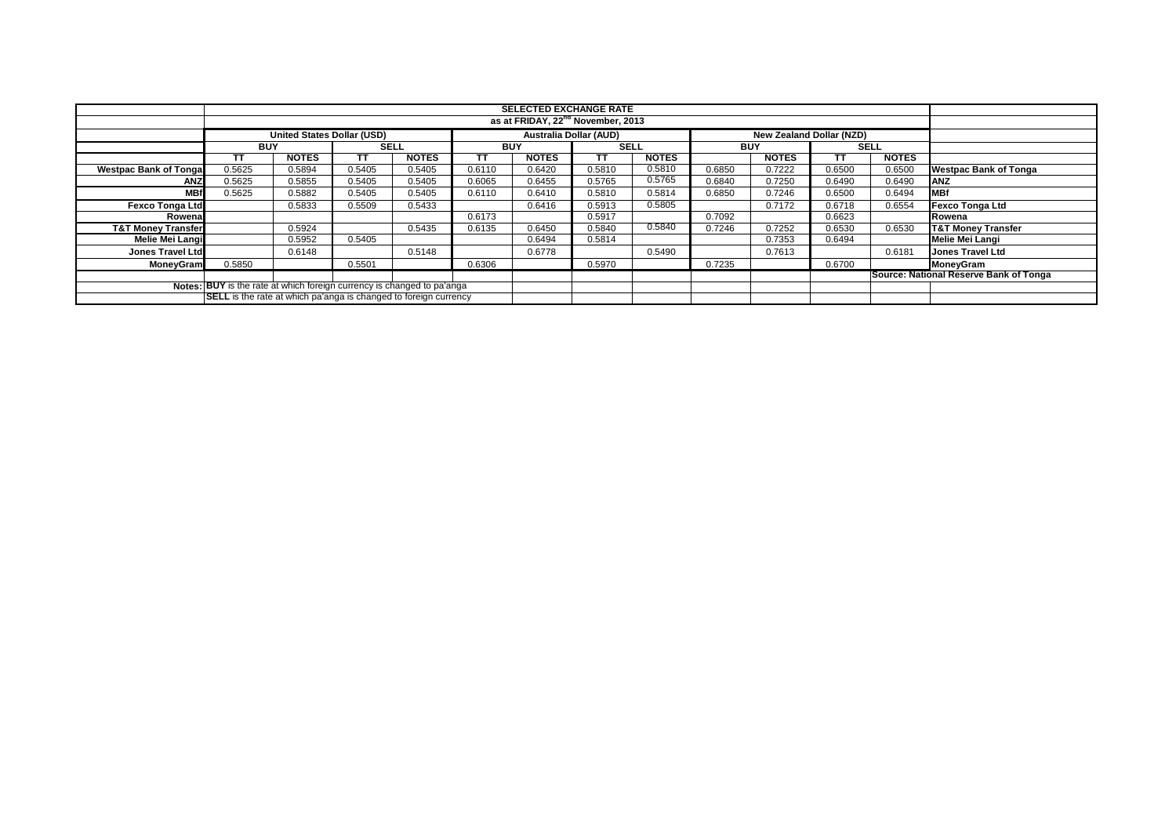|                               |                                                                         |                                   |        |              |            | <b>SELECTED EXCHANGE RATE</b> |             |              |            |                                 |                                        |              |                               |
|-------------------------------|-------------------------------------------------------------------------|-----------------------------------|--------|--------------|------------|-------------------------------|-------------|--------------|------------|---------------------------------|----------------------------------------|--------------|-------------------------------|
|                               | as at FRIDAY, 22 <sup>nd</sup> November, 2013                           |                                   |        |              |            |                               |             |              |            |                                 |                                        |              |                               |
|                               |                                                                         | <b>United States Dollar (USD)</b> |        |              |            | <b>Australia Dollar (AUD)</b> |             |              |            | <b>New Zealand Dollar (NZD)</b> |                                        |              |                               |
|                               | <b>BUY</b>                                                              |                                   | SELL   |              | <b>BUY</b> |                               | <b>SELL</b> |              | <b>BUY</b> |                                 | <b>SELL</b>                            |              |                               |
|                               | TΤ                                                                      | <b>NOTES</b>                      | тτ     | <b>NOTES</b> | тт         | <b>NOTES</b>                  | тт          | <b>NOTES</b> |            | <b>NOTES</b>                    | ТΤ                                     | <b>NOTES</b> |                               |
| <b>Westpac Bank of Tongal</b> | 0.5625                                                                  | 0.5894                            | 0.5405 | 0.5405       | 0.6110     | 0.6420                        | 0.5810      | 0.5810       | 0.6850     | 0.7222                          | 0.6500                                 | 0.6500       | <b>Westpac Bank of Tonga</b>  |
| ANZ                           | 0.5625                                                                  | 0.5855                            | 0.5405 | 0.5405       | 0.6065     | 0.6455                        | 0.5765      | 0.5765       | 0.6840     | 0.7250                          | 0.6490                                 | 0.6490       | <b>ANZ</b>                    |
| <b>MBf</b>                    | 0.5625                                                                  | 0.5882                            | 0.5405 | 0.5405       | 0.6110     | 0.6410                        | 0.5810      | 0.5814       | 0.6850     | 0.7246                          | 0.6500                                 | 0.6494       | <b>MBf</b>                    |
| <b>Fexco Tonga Ltd</b>        |                                                                         | 0.5833                            | 0.5509 | 0.5433       |            | 0.6416                        | 0.5913      | 0.5805       |            | 0.7172                          | 0.6718                                 | 0.6554       | <b>Fexco Tonga Ltd</b>        |
| Rowenal                       |                                                                         |                                   |        |              | 0.6173     |                               | 0.5917      |              | 0.7092     |                                 | 0.6623                                 |              | Rowena                        |
| <b>T&amp;T Money Transfer</b> |                                                                         | 0.5924                            |        | 0.5435       | 0.6135     | 0.6450                        | 0.5840      | 0.5840       | 0.7246     | 0.7252                          | 0.6530                                 | 0.6530       | <b>T&amp;T Money Transfer</b> |
| Melie Mei Langi               |                                                                         | 0.5952                            | 0.5405 |              |            | 0.6494                        | 0.5814      |              |            | 0.7353                          | 0.6494                                 |              | <b>Melie Mei Langi</b>        |
| <b>Jones Travel Ltd</b>       |                                                                         | 0.6148                            |        | 0.5148       |            | 0.6778                        |             | 0.5490       |            | 0.7613                          |                                        | 0.6181       | <b>Jones Travel Ltd</b>       |
| <b>MoneyGram</b>              | 0.5850                                                                  |                                   | 0.5501 |              | 0.6306     |                               | 0.5970      |              | 0.7235     |                                 | 0.6700                                 |              | MoneyGram                     |
|                               |                                                                         |                                   |        |              |            |                               |             |              |            |                                 | Source: National Reserve Bank of Tonga |              |                               |
|                               | Notes: BUY is the rate at which foreign currency is changed to pa'anga  |                                   |        |              |            |                               |             |              |            |                                 |                                        |              |                               |
|                               | <b>SELL</b> is the rate at which pa'anga is changed to foreign currency |                                   |        |              |            |                               |             |              |            |                                 |                                        |              |                               |